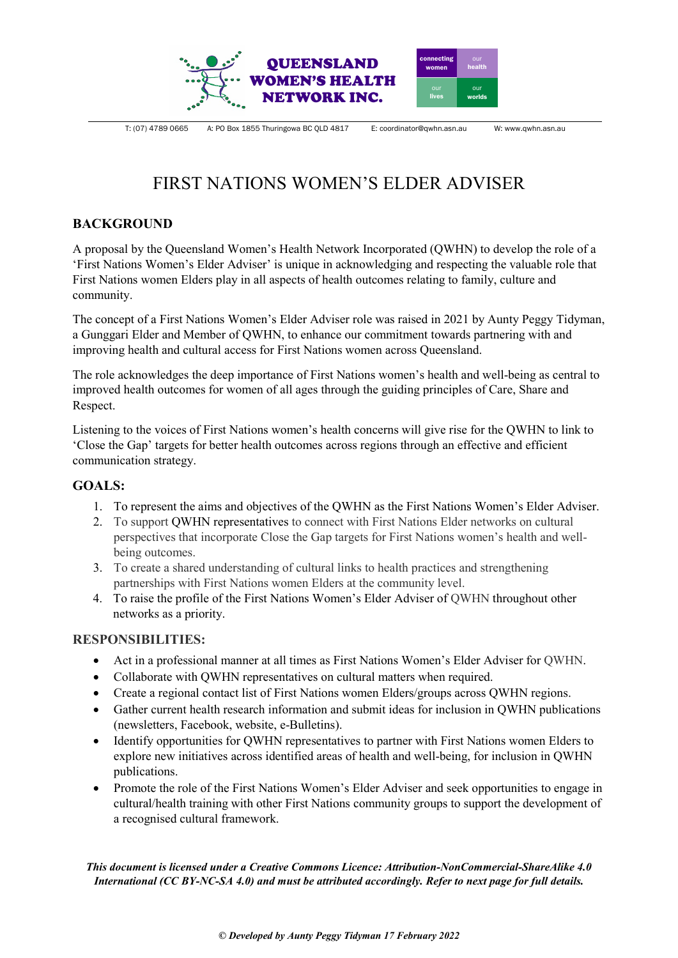

T: (07) 4789 0665 A: PO Box 1855 Thuringowa BC QLD 4817 E: coordinator@qwhn.asn.au W: www.qwhn.asn.au

# FIRST NATIONS WOMEN'S ELDER ADVISER

## **BACKGROUND**

A proposal by the Queensland Women's Health Network Incorporated (QWHN) to develop the role of a 'First Nations Women's Elder Adviser' is unique in acknowledging and respecting the valuable role that First Nations women Elders play in all aspects of health outcomes relating to family, culture and community.

The concept of a First Nations Women's Elder Adviser role was raised in 2021 by Aunty Peggy Tidyman, a Gunggari Elder and Member of QWHN, to enhance our commitment towards partnering with and improving health and cultural access for First Nations women across Queensland.

The role acknowledges the deep importance of First Nations women's health and well-being as central to improved health outcomes for women of all ages through the guiding principles of Care, Share and Respect.

Listening to the voices of First Nations women's health concerns will give rise for the QWHN to link to 'Close the Gap' targets for better health outcomes across regions through an effective and efficient communication strategy.

## **GOALS:**

- 1. To represent the aims and objectives of the QWHN as the First Nations Women's Elder Adviser.
- 2. To support QWHN representatives to connect with First Nations Elder networks on cultural perspectives that incorporate Close the Gap targets for First Nations women's health and wellbeing outcomes.
- 3. To create a shared understanding of cultural links to health practices and strengthening partnerships with First Nations women Elders at the community level.
- 4. To raise the profile of the First Nations Women's Elder Adviser of QWHN throughout other networks as a priority.

## **RESPONSIBILITIES:**

- Act in a professional manner at all times as First Nations Women's Elder Adviser for QWHN.
- Collaborate with QWHN representatives on cultural matters when required.
- Create a regional contact list of First Nations women Elders/groups across QWHN regions.
- Gather current health research information and submit ideas for inclusion in QWHN publications (newsletters, Facebook, website, e-Bulletins).
- Identify opportunities for QWHN representatives to partner with First Nations women Elders to explore new initiatives across identified areas of health and well-being, for inclusion in QWHN publications.
- Promote the role of the First Nations Women's Elder Adviser and seek opportunities to engage in cultural/health training with other First Nations community groups to support the development of a recognised cultural framework.

*This document is licensed under a Creative Commons Licence: Attribution-NonCommercial-ShareAlike 4.0 International (CC BY-NC-SA 4.0) and must be attributed accordingly. Refer to next page for full details.*